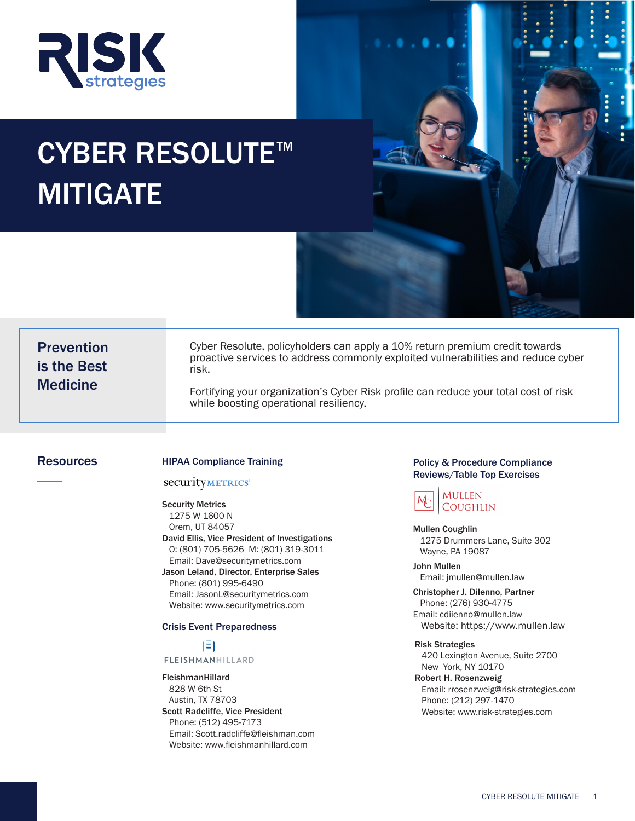

# CYBER RESOLUTE<sup>™</sup> MITIGATE

| <b>Prevention</b> |  |
|-------------------|--|
| is the Best       |  |
| <b>Medicine</b>   |  |

Cyber Resolute, policyholders can apply a 10% return premium credit towards proactive services to address commonly exploited vulnerabilities and reduce cyber risk.

Fortifying your organization's Cyber Risk profile can reduce your total cost of risk while boosting operational resiliency.

#### securityMETRICS\*

Security Metrics 1275 W 1600 N Orem, UT 84057 David Ellis, Vice President of Investigations O: (801) 705-5626 M: (801) 319-3011 Email: Dave@securitymetrics.com Jason Leland, Director, Enterprise Sales

 Phone: (801) 995-6490 Email: JasonL@securitymetrics.com Website: www.securitymetrics.com

#### Crisis Event Preparedness

#### $\mathbf{E}$ **FLEISHMANHILLARD**

FleishmanHillard 828 W 6th St Austin, TX 78703 Scott Radcliffe, Vice President Phone: (512) 495-7173 Email: Scott.radcliffe@fleishman.com Website: www.fleishmanhillard.com

#### Resources **Exercise EXEC EXECUTE:** HIPAA Compliance Training **Policy & Procedure Compliance** Compliance Reviews/Table Top Exercises



Mullen Coughlin 1275 Drummers Lane, Suite 302 Wayne, PA 19087

#### John Mullen

Email: jmullen@mullen.law

Christopher J. DiIenno, Partner Phone: (276) 930-4775 Email: cdiienno@mullen.law Website: https://www.mullen.law

#### Risk Strategies

 420 Lexington Avenue, Suite 2700 New York, NY 10170

Robert H. Rosenzweig Email: rrosenzweig@risk-strategies.com Phone: (212) 297-1470 Website: www.risk-strategies.com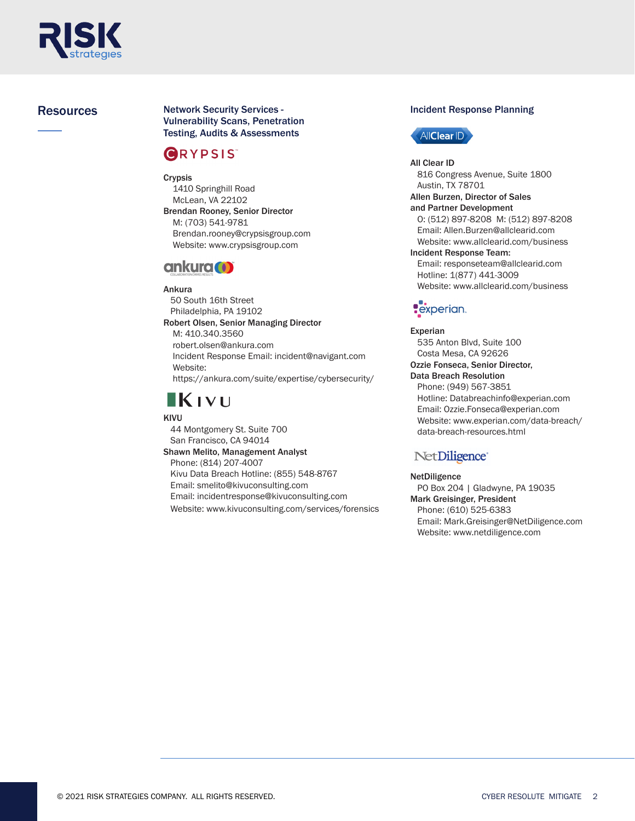

**Resources The Incident Response Planning Incident Response Planning** Network Security Services - Vulnerability Scans, Penetration Testing, Audits & Assessments

## **GRYPSIS**

Crypsis 1410 Springhill Road McLean, VA 22102 Brendan Rooney, Senior Director M: (703) 541-9781 Brendan.rooney@crypsisgroup.com Website: www.crypsisgroup.com

### ankura (1)

#### Ankura

 50 South 16th Street Philadelphia, PA 19102 Robert Olsen, Senior Managing Director M: 410.340.3560 robert.olsen@ankura.com Incident Response Email: incident@navigant.com Website: https://ankura.com/suite/expertise/cybersecurity/

# KIVU

#### KIVU

 44 Montgomery St. Suite 700 San Francisco, CA 94014 Shawn Melito, Management Analyst Phone: (814) 207-4007 Kivu Data Breach Hotline: (855) 548-8767 Email: smelito@kivuconsulting.com Email: incidentresponse@kivuconsulting.com Website: www.kivuconsulting.com/services/forensics



All Clear ID 816 Congress Avenue, Suite 1800 Austin, TX 78701 Allen Burzen, Director of Sales and Partner Development O: (512) 897-8208 M: (512) 897-8208 Email: Allen.Burzen@allclearid.com Website: www.allclearid.com/business Incident Response Team: Email: responseteam@allclearid.com Hotline: 1(877) 441-3009 Website: www.allclearid.com/business

# **Pexperian**

Experian 535 Anton Blvd, Suite 100 Costa Mesa, CA 92626 Ozzie Fonseca, Senior Director, Data Breach Resolution Phone: (949) 567-3851 Hotline: Databreachinfo@experian.com Email: Ozzie.Fonseca@experian.com Website: www.experian.com/data-breach/ data-breach-resources.html

### NetDiligence<sup>®</sup>

#### NetDiligence

 PO Box 204 | Gladwyne, PA 19035 Mark Greisinger, President Phone: (610) 525-6383 Email: Mark.Greisinger@NetDiligence.com Website: www.netdiligence.com